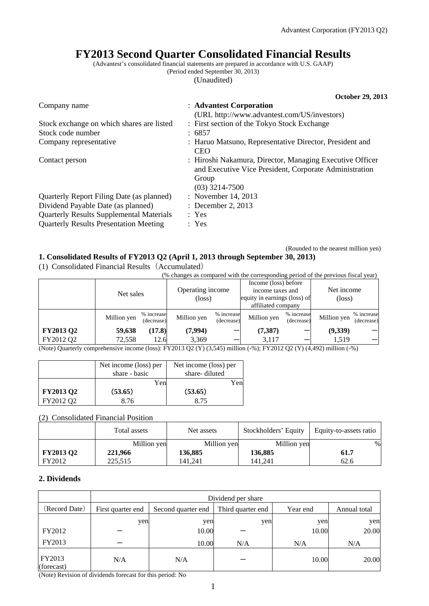# **FY2013 Second Quarter Consolidated Financial Results**

(Advantest's consolidated financial statements are prepared in accordance with U.S. GAAP) (Period ended September 30, 2013)

(Unaudited)

|                                                 | <b>October 29, 2013</b>                                                                                                                         |
|-------------------------------------------------|-------------------------------------------------------------------------------------------------------------------------------------------------|
| Company name                                    | : Advantest Corporation<br>(URL http://www.advantest.com/US/investors)                                                                          |
| Stock exchange on which shares are listed       | : First section of the Tokyo Stock Exchange                                                                                                     |
| Stock code number                               | : 6857                                                                                                                                          |
| Company representative                          | : Haruo Matsuno, Representative Director, President and<br><b>CEO</b>                                                                           |
| Contact person                                  | : Hiroshi Nakamura, Director, Managing Executive Officer<br>and Executive Vice President, Corporate Administration<br>Group<br>$(03)$ 3214-7500 |
| Quarterly Report Filing Date (as planned)       | : November 14, 2013                                                                                                                             |
| Dividend Payable Date (as planned)              | : December 2, 2013                                                                                                                              |
| <b>Quarterly Results Supplemental Materials</b> | : Yes                                                                                                                                           |
| <b>Quarterly Results Presentation Meeting</b>   | : Yes                                                                                                                                           |

(Rounded to the nearest million yen)

## **1. Consolidated Results of FY2013 Q2 (April 1, 2013 through September 30, 2013)**

(1) Consolidated Financial Results(Accumulated)

|                                                                                   | $\sim$ 0.110 0.11 were well assessed to the 0.000 value of 1.2 The wall wave well |                          |                            |                          |                                                                                                |                          |                               |                          |
|-----------------------------------------------------------------------------------|-----------------------------------------------------------------------------------|--------------------------|----------------------------|--------------------------|------------------------------------------------------------------------------------------------|--------------------------|-------------------------------|--------------------------|
| (% changes as compared with the corresponding period of the previous fiscal year) |                                                                                   |                          |                            |                          |                                                                                                |                          |                               |                          |
|                                                                                   | Net sales                                                                         |                          | Operating income<br>(loss) |                          | Income (loss) before<br>income taxes and<br>equity in earnings (loss) of<br>affiliated company |                          | Net income<br>$(\text{loss})$ |                          |
|                                                                                   | Million yen                                                                       | % increase<br>(decrease) | Million yen                | % increase<br>(decrease) | Million yen                                                                                    | % increase<br>(decrease) | Million yen                   | % increase<br>(decrease) |
| <b>FY2013 Q2</b>                                                                  | 59,638                                                                            | (17.8)                   | (7,994)                    |                          | (7, 387)                                                                                       |                          | (9,339)                       |                          |
| FY2012 Q2                                                                         | 72,558                                                                            | 12.6                     | 3,369                      |                          | 3,117                                                                                          |                          | 1,519                         |                          |

(Note) Quarterly comprehensive income (loss): FY2013 Q2 (Y) (3,545) million (-%); FY2012 Q2 (Y) (4,492) million (-%)

|                  | Net income (loss) per | Net income (loss) per |
|------------------|-----------------------|-----------------------|
|                  | share - basic         | share-diluted         |
|                  | Yen                   | Yen                   |
| <b>FY2013 Q2</b> | (53.65)               | (53.65)               |
| FY2012 O2        | 8 76                  | 8.75                  |

(2) Consolidated Financial Position

|                  | Total assets | Net assets  | Stockholders' Equity | Equity-to-assets ratio |
|------------------|--------------|-------------|----------------------|------------------------|
|                  | Million yen  | Million yen | Million yen          | $\%$                   |
| <b>FY2013 Q2</b> | 221,966      | 136,885     | 136,885              | 61.7                   |
| FY2012           | 225,515      | 141.241     | 141.241              | 62.6                   |

### **2. Dividends**

|                      | Dividend per share |                    |                   |          |              |  |  |
|----------------------|--------------------|--------------------|-------------------|----------|--------------|--|--|
| (Record Date)        | First quarter end  | Second quarter end | Third quarter end | Year end | Annual total |  |  |
|                      | yen                | yen                | yen               | yen      | yen          |  |  |
| FY2012               |                    | 10.00              |                   | 10.00    | 20.00        |  |  |
| FY2013               |                    | 10.00              | N/A               | N/A      | N/A          |  |  |
| FY2013<br>(forecast) | N/A                | N/A                |                   | 10.00    | 20.00        |  |  |

(Note) Revision of dividends forecast for this period: No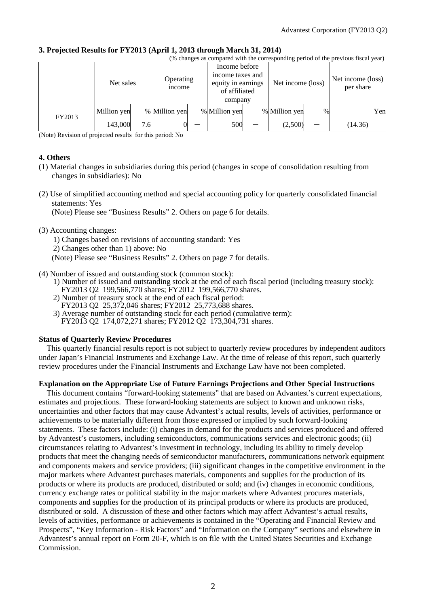# **3. Projected Results for FY2013 (April 1, 2013 through March 31, 2014)**

|           | (% changes as compared with the corresponding period of the previous fiscal year) |                     |               |                                                         |               |  |                   |                                         |         |
|-----------|-----------------------------------------------------------------------------------|---------------------|---------------|---------------------------------------------------------|---------------|--|-------------------|-----------------------------------------|---------|
| Net sales |                                                                                   | Operating<br>income |               | Income before<br>income taxes and<br>equity in earnings | of affiliated |  | Net income (loss) | Net income $(\text{loss})$<br>per share |         |
|           |                                                                                   |                     |               |                                                         | company       |  |                   |                                         |         |
| FY2013    | Million yen                                                                       |                     | % Million yen |                                                         | % Million yen |  | % Million yen     | $\%$                                    | Yen     |
|           | 143,000                                                                           | 7.6                 |               |                                                         | 500           |  | (2,500)           |                                         | (14.36) |

(Note) Revision of projected results for this period: No

### **4. Others**

- (1) Material changes in subsidiaries during this period (changes in scope of consolidation resulting from changes in subsidiaries): No
- (2) Use of simplified accounting method and special accounting policy for quarterly consolidated financial statements: Yes

(Note) Please see "Business Results" 2. Others on page 6 for details.

#### (3) Accounting changes:

1) Changes based on revisions of accounting standard: Yes

2) Changes other than 1) above: No

(Note) Please see "Business Results" 2. Others on page 7 for details.

(4) Number of issued and outstanding stock (common stock):

- 1) Number of issued and outstanding stock at the end of each fiscal period (including treasury stock): FY2013 Q2 199,566,770 shares; FY2012 199,566,770 shares.
- 2) Number of treasury stock at the end of each fiscal period:
- FY2013 Q2 25,372,046 shares; FY2012 25,773,688 shares.
- 3) Average number of outstanding stock for each period (cumulative term):
- FY2013 Q2 174,072,271 shares; FY2012 Q2 173,304,731 shares.

### **Status of Quarterly Review Procedures**

This quarterly financial results report is not subject to quarterly review procedures by independent auditors under Japan's Financial Instruments and Exchange Law. At the time of release of this report, such quarterly review procedures under the Financial Instruments and Exchange Law have not been completed.

### **Explanation on the Appropriate Use of Future Earnings Projections and Other Special Instructions**

This document contains "forward-looking statements" that are based on Advantest's current expectations, estimates and projections. These forward-looking statements are subject to known and unknown risks, uncertainties and other factors that may cause Advantest's actual results, levels of activities, performance or achievements to be materially different from those expressed or implied by such forward-looking statements. These factors include: (i) changes in demand for the products and services produced and offered by Advantest's customers, including semiconductors, communications services and electronic goods; (ii) circumstances relating to Advantest's investment in technology, including its ability to timely develop products that meet the changing needs of semiconductor manufacturers, communications network equipment and components makers and service providers; (iii) significant changes in the competitive environment in the major markets where Advantest purchases materials, components and supplies for the production of its products or where its products are produced, distributed or sold; and (iv) changes in economic conditions, currency exchange rates or political stability in the major markets where Advantest procures materials, components and supplies for the production of its principal products or where its products are produced, distributed or sold. A discussion of these and other factors which may affect Advantest's actual results, levels of activities, performance or achievements is contained in the "Operating and Financial Review and Prospects", "Key Information - Risk Factors" and "Information on the Company" sections and elsewhere in Advantest's annual report on Form 20-F, which is on file with the United States Securities and Exchange Commission.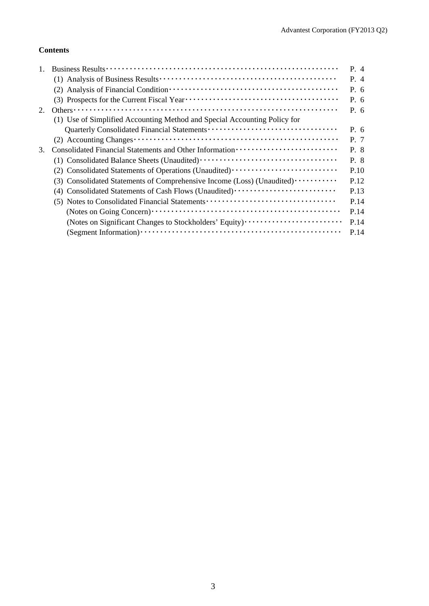## **Contents**

|    |                                                                                  | P. 4  |
|----|----------------------------------------------------------------------------------|-------|
|    |                                                                                  | $P_4$ |
|    |                                                                                  | P. 6  |
|    |                                                                                  | P. 6  |
| 2. | Others $\cdots$                                                                  | P. 6  |
|    | (1) Use of Simplified Accounting Method and Special Accounting Policy for        |       |
|    |                                                                                  | P. 6  |
|    |                                                                                  | P. 7  |
| 3. |                                                                                  | P. 8  |
|    |                                                                                  | P. 8  |
|    | (2) Consolidated Statements of Operations (Unaudited) ·························· | P.10  |
|    | (3) Consolidated Statements of Comprehensive Income (Loss) (Unaudited)           | P.12  |
|    | Consolidated Statements of Cash Flows (Unaudited) ······························ | P.13  |
|    | (5) Notes to Consolidated Financial Statements                                   | P.14  |
|    |                                                                                  | P.14  |
|    | (Notes on Significant Changes to Stockholders' Equity)                           | P.14  |
|    |                                                                                  | P.14  |
|    |                                                                                  |       |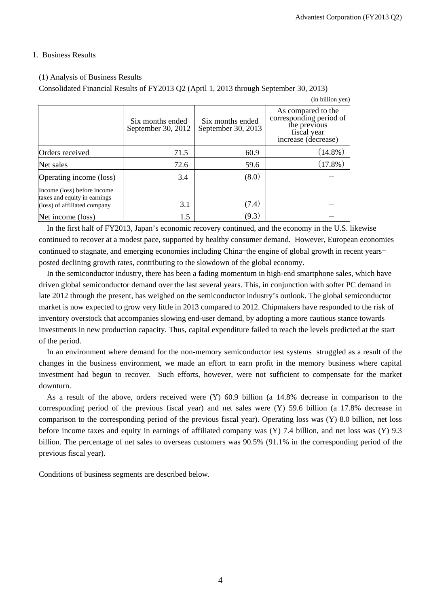### 1. Business Results

## (1) Analysis of Business Results

Consolidated Financial Results of FY2013 Q2 (April 1, 2013 through September 30, 2013)

|                                                                                             |                                        |                                        | (in billion yen)                                                                                    |
|---------------------------------------------------------------------------------------------|----------------------------------------|----------------------------------------|-----------------------------------------------------------------------------------------------------|
|                                                                                             | Six months ended<br>September 30, 2012 | Six months ended<br>September 30, 2013 | As compared to the<br>corresponding period of<br>the previous<br>fiscal year<br>increase (decrease) |
| Orders received                                                                             | 71.5                                   | 60.9                                   | $(14.8\%)$                                                                                          |
| Net sales                                                                                   | 72.6                                   | 59.6                                   | $(17.8\%)$                                                                                          |
| Operating income (loss)                                                                     | 3.4                                    | (8.0)                                  |                                                                                                     |
| Income (loss) before income<br>taxes and equity in earnings<br>(loss) of affiliated company | 3.1                                    | (7.4)                                  |                                                                                                     |
| Net income (loss)                                                                           | 1.5                                    | (9.3)                                  |                                                                                                     |

In the first half of FY2013, Japan's economic recovery continued, and the economy in the U.S. likewise continued to recover at a modest pace, supported by healthy consumer demand. However, European economies continued to stagnate, and emerging economies including China–the engine of global growth in recent years– posted declining growth rates, contributing to the slowdown of the global economy.

In the semiconductor industry, there has been a fading momentum in high-end smartphone sales, which have driven global semiconductor demand over the last several years. This, in conjunction with softer PC demand in late 2012 through the present, has weighed on the semiconductor industry's outlook. The global semiconductor market is now expected to grow very little in 2013 compared to 2012. Chipmakers have responded to the risk of inventory overstock that accompanies slowing end-user demand, by adopting a more cautious stance towards investments in new production capacity. Thus, capital expenditure failed to reach the levels predicted at the start of the period.

In an environment where demand for the non-memory semiconductor test systems struggled as a result of the changes in the business environment, we made an effort to earn profit in the memory business where capital investment had begun to recover. Such efforts, however, were not sufficient to compensate for the market downturn.

As a result of the above, orders received were (Y) 60.9 billion (a 14.8% decrease in comparison to the corresponding period of the previous fiscal year) and net sales were (Y) 59.6 billion (a 17.8% decrease in comparison to the corresponding period of the previous fiscal year). Operating loss was (Y) 8.0 billion, net loss before income taxes and equity in earnings of affiliated company was (Y) 7.4 billion, and net loss was (Y) 9.3 billion. The percentage of net sales to overseas customers was 90.5% (91.1% in the corresponding period of the previous fiscal year).

Conditions of business segments are described below.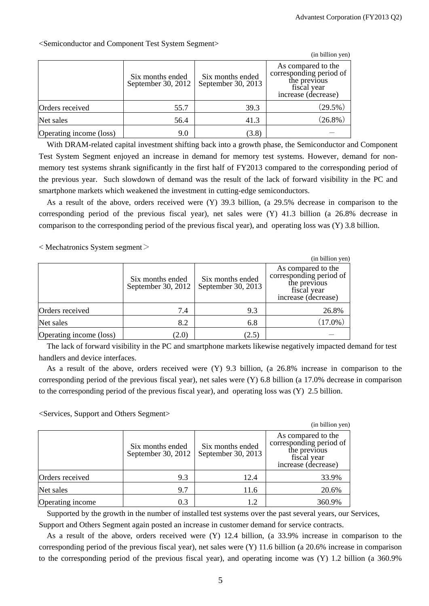|                         |                                        |                                        | (in billion yen)                                                                                    |
|-------------------------|----------------------------------------|----------------------------------------|-----------------------------------------------------------------------------------------------------|
|                         | Six months ended<br>September 30, 2012 | Six months ended<br>September 30, 2013 | As compared to the<br>corresponding period of<br>the previous<br>fiscal year<br>increase (decrease) |
| Orders received         | 55.7                                   | 39.3                                   | $(29.5\%)$                                                                                          |
| Net sales               | 56.4                                   | 41.3                                   | $(26.8\%)$                                                                                          |
| Operating income (loss) | 9.0                                    | (3.8)                                  |                                                                                                     |

<Semiconductor and Component Test System Segment>

With DRAM-related capital investment shifting back into a growth phase, the Semiconductor and Component Test System Segment enjoyed an increase in demand for memory test systems. However, demand for nonmemory test systems shrank significantly in the first half of FY2013 compared to the corresponding period of the previous year. Such slowdown of demand was the result of the lack of forward visibility in the PC and smartphone markets which weakened the investment in cutting-edge semiconductors.

As a result of the above, orders received were (Y) 39.3 billion, (a 29.5% decrease in comparison to the corresponding period of the previous fiscal year), net sales were  $(Y)$  41.3 billion (a 26.8% decrease in comparison to the corresponding period of the previous fiscal year), and operating loss was (Y) 3.8 billion.

 $<$  Mechatronics System segment $>$ 

|                         |                                        |                                        | (in billion yen)                                                                                    |
|-------------------------|----------------------------------------|----------------------------------------|-----------------------------------------------------------------------------------------------------|
|                         | Six months ended<br>September 30, 2012 | Six months ended<br>September 30, 2013 | As compared to the<br>corresponding period of<br>the previous<br>fiscal year<br>increase (decrease) |
| Orders received         | 7.4                                    | 9.3                                    | 26.8%                                                                                               |
| Net sales               | 8.2                                    | 6.8                                    | $(17.0\%)$                                                                                          |
| Operating income (loss) | (2.0)                                  | (2.5)                                  |                                                                                                     |

The lack of forward visibility in the PC and smartphone markets likewise negatively impacted demand for test handlers and device interfaces.

As a result of the above, orders received were (Y) 9.3 billion, (a 26.8% increase in comparison to the corresponding period of the previous fiscal year), net sales were (Y) 6.8 billion (a 17.0% decrease in comparison to the corresponding period of the previous fiscal year), and operating loss was (Y) 2.5 billion.

<Services, Support and Others Segment>

|                  |                                        |                                        | (in billion yen)                                                                                    |
|------------------|----------------------------------------|----------------------------------------|-----------------------------------------------------------------------------------------------------|
|                  | Six months ended<br>September 30, 2012 | Six months ended<br>September 30, 2013 | As compared to the<br>corresponding period of<br>the previous<br>fiscal year<br>increase (decrease) |
| Orders received  | 9.3                                    | 12.4                                   | 33.9%                                                                                               |
| Net sales        | 9.7                                    | 11.6                                   | 20.6%                                                                                               |
| Operating income | 0.3                                    | 1.2                                    | 360.9%                                                                                              |

Supported by the growth in the number of installed test systems over the past several years, our Services,

Support and Others Segment again posted an increase in customer demand for service contracts.

As a result of the above, orders received were (Y) 12.4 billion, (a 33.9% increase in comparison to the corresponding period of the previous fiscal year), net sales were (Y) 11.6 billion (a 20.6% increase in comparison to the corresponding period of the previous fiscal year), and operating income was (Y) 1.2 billion (a 360.9%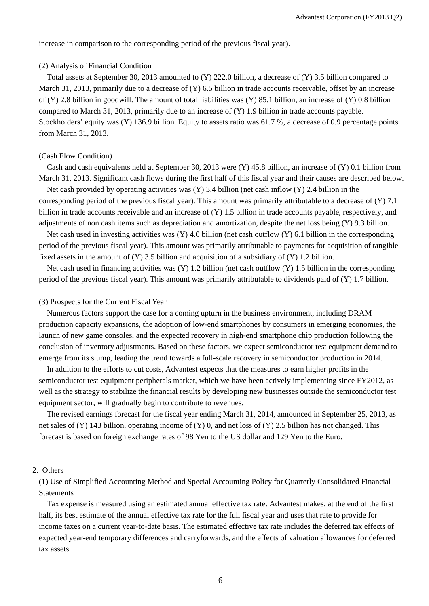increase in comparison to the corresponding period of the previous fiscal year).

#### (2) Analysis of Financial Condition

Total assets at September 30, 2013 amounted to (Y) 222.0 billion, a decrease of (Y) 3.5 billion compared to March 31, 2013, primarily due to a decrease of (Y) 6.5 billion in trade accounts receivable, offset by an increase of (Y) 2.8 billion in goodwill. The amount of total liabilities was (Y) 85.1 billion, an increase of (Y) 0.8 billion compared to March 31, 2013, primarily due to an increase of  $(Y)$  1.9 billion in trade accounts payable. Stockholders' equity was (Y) 136.9 billion. Equity to assets ratio was 61.7 %, a decrease of 0.9 percentage points from March 31, 2013.

#### (Cash Flow Condition)

Cash and cash equivalents held at September 30, 2013 were (Y) 45.8 billion, an increase of (Y) 0.1 billion from March 31, 2013. Significant cash flows during the first half of this fiscal year and their causes are described below.

Net cash provided by operating activities was  $(Y)$  3.4 billion (net cash inflow  $(Y)$ ) 2.4 billion in the corresponding period of the previous fiscal year). This amount was primarily attributable to a decrease of (Y) 7.1 billion in trade accounts receivable and an increase of (Y) 1.5 billion in trade accounts payable, respectively, and adjustments of non cash items such as depreciation and amortization, despite the net loss being (Y) 9.3 billion.

Net cash used in investing activities was  $(Y)$  4.0 billion (net cash outflow  $(Y)$  6.1 billion in the corresponding period of the previous fiscal year). This amount was primarily attributable to payments for acquisition of tangible fixed assets in the amount of  $(Y)$  3.5 billion and acquisition of a subsidiary of  $(Y)$  1.2 billion.

Net cash used in financing activities was  $(Y)$  1.2 billion (net cash outflow  $(Y)$  1.5 billion in the corresponding period of the previous fiscal year). This amount was primarily attributable to dividends paid of (Y) 1.7 billion.

#### (3) Prospects for the Current Fiscal Year

Numerous factors support the case for a coming upturn in the business environment, including DRAM production capacity expansions, the adoption of low-end smartphones by consumers in emerging economies, the launch of new game consoles, and the expected recovery in high-end smartphone chip production following the conclusion of inventory adjustments. Based on these factors, we expect semiconductor test equipment demand to emerge from its slump, leading the trend towards a full-scale recovery in semiconductor production in 2014.

In addition to the efforts to cut costs, Advantest expects that the measures to earn higher profits in the semiconductor test equipment peripherals market, which we have been actively implementing since FY2012, as well as the strategy to stabilize the financial results by developing new businesses outside the semiconductor test equipment sector, will gradually begin to contribute to revenues.

The revised earnings forecast for the fiscal year ending March 31, 2014, announced in September 25, 2013, as net sales of (Y) 143 billion, operating income of (Y) 0, and net loss of (Y) 2.5 billion has not changed. This forecast is based on foreign exchange rates of 98 Yen to the US dollar and 129 Yen to the Euro.

#### 2. Others

(1) Use of Simplified Accounting Method and Special Accounting Policy for Quarterly Consolidated Financial Statements

Tax expense is measured using an estimated annual effective tax rate. Advantest makes, at the end of the first half, its best estimate of the annual effective tax rate for the full fiscal year and uses that rate to provide for income taxes on a current year-to-date basis. The estimated effective tax rate includes the deferred tax effects of expected year-end temporary differences and carryforwards, and the effects of valuation allowances for deferred tax assets.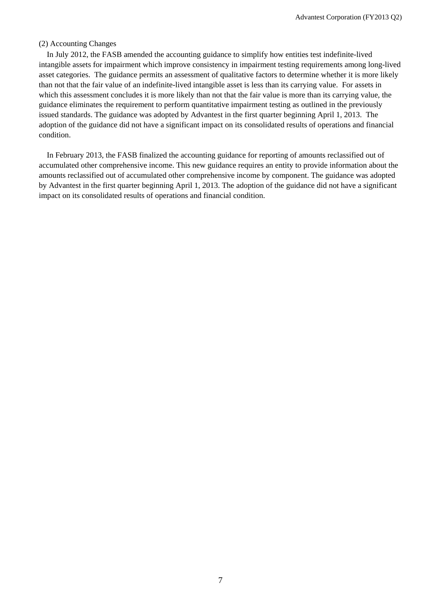#### (2) Accounting Changes

In July 2012, the FASB amended the accounting guidance to simplify how entities test indefinite-lived intangible assets for impairment which improve consistency in impairment testing requirements among long-lived asset categories. The guidance permits an assessment of qualitative factors to determine whether it is more likely than not that the fair value of an indefinite-lived intangible asset is less than its carrying value. For assets in which this assessment concludes it is more likely than not that the fair value is more than its carrying value, the guidance eliminates the requirement to perform quantitative impairment testing as outlined in the previously issued standards. The guidance was adopted by Advantest in the first quarter beginning April 1, 2013. The adoption of the guidance did not have a significant impact on its consolidated results of operations and financial condition.

In February 2013, the FASB finalized the accounting guidance for reporting of amounts reclassified out of accumulated other comprehensive income. This new guidance requires an entity to provide information about the amounts reclassified out of accumulated other comprehensive income by component. The guidance was adopted by Advantest in the first quarter beginning April 1, 2013. The adoption of the guidance did not have a significant impact on its consolidated results of operations and financial condition.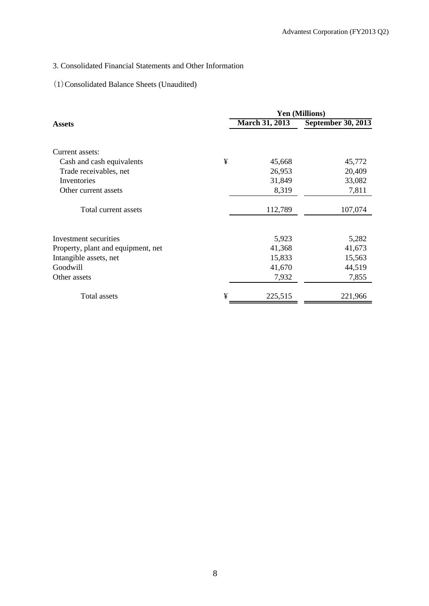## 3. Consolidated Financial Statements and Other Information

## (1)Consolidated Balance Sheets (Unaudited)

|                                    |   |                       | <b>Yen (Millions)</b>     |
|------------------------------------|---|-----------------------|---------------------------|
| <b>Assets</b>                      |   | <b>March 31, 2013</b> | <b>September 30, 2013</b> |
| Current assets:                    |   |                       |                           |
| Cash and cash equivalents          | ¥ | 45,668                | 45,772                    |
| Trade receivables, net             |   | 26,953                | 20,409                    |
| Inventories                        |   | 31,849                | 33,082                    |
| Other current assets               |   | 8,319                 | 7,811                     |
| Total current assets               |   | 112,789               | 107,074                   |
| Investment securities              |   | 5,923                 | 5,282                     |
| Property, plant and equipment, net |   | 41,368                | 41,673                    |
| Intangible assets, net             |   | 15,833                | 15,563                    |
| Goodwill                           |   | 41,670                | 44,519                    |
| Other assets                       |   | 7,932                 | 7,855                     |
| Total assets                       | ¥ | 225,515               | 221,966                   |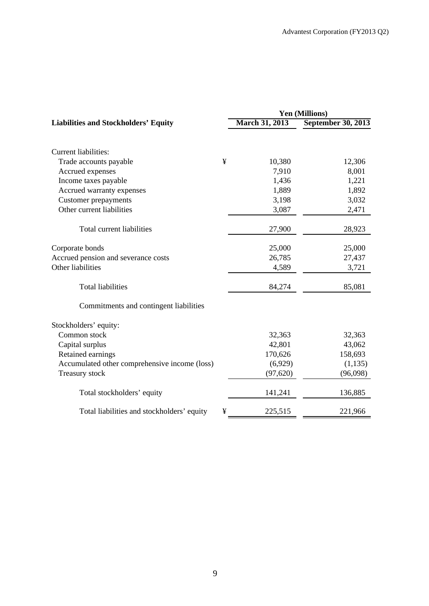|                                                 | Yen (Millions)        |                           |  |  |
|-------------------------------------------------|-----------------------|---------------------------|--|--|
| <b>Liabilities and Stockholders' Equity</b>     | <b>March 31, 2013</b> | <b>September 30, 2013</b> |  |  |
| Current liabilities:                            |                       |                           |  |  |
| Trade accounts payable<br>¥                     | 10,380                | 12,306                    |  |  |
| Accrued expenses                                | 7,910                 | 8,001                     |  |  |
| Income taxes payable                            | 1,436                 | 1,221                     |  |  |
| Accrued warranty expenses                       | 1,889                 | 1,892                     |  |  |
| <b>Customer</b> prepayments                     | 3,198                 | 3,032                     |  |  |
| Other current liabilities                       | 3,087                 | 2,471                     |  |  |
| Total current liabilities                       | 27,900                | 28,923                    |  |  |
| Corporate bonds                                 | 25,000                | 25,000                    |  |  |
| Accrued pension and severance costs             | 26,785                | 27,437                    |  |  |
| Other liabilities                               | 4,589                 | 3,721                     |  |  |
| <b>Total liabilities</b>                        | 84,274                | 85,081                    |  |  |
| Commitments and contingent liabilities          |                       |                           |  |  |
| Stockholders' equity:                           |                       |                           |  |  |
| Common stock                                    | 32,363                | 32,363                    |  |  |
| Capital surplus                                 | 42,801                | 43,062                    |  |  |
| Retained earnings                               | 170,626               | 158,693                   |  |  |
| Accumulated other comprehensive income (loss)   | (6,929)               | (1, 135)                  |  |  |
| Treasury stock                                  | (97, 620)             | (96,098)                  |  |  |
| Total stockholders' equity                      | 141,241               | 136,885                   |  |  |
| ¥<br>Total liabilities and stockholders' equity | 225,515               | 221,966                   |  |  |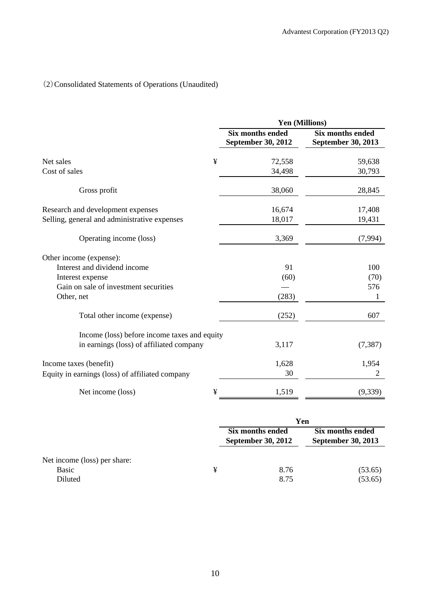# (2)Consolidated Statements of Operations (Unaudited)

|                                                 | Yen (Millions)                                |                                               |
|-------------------------------------------------|-----------------------------------------------|-----------------------------------------------|
|                                                 | <b>Six months ended</b><br>September 30, 2012 | <b>Six months ended</b><br>September 30, 2013 |
| ¥<br>Net sales                                  | 72,558                                        | 59,638                                        |
| Cost of sales                                   | 34,498                                        | 30,793                                        |
| Gross profit                                    | 38,060                                        | 28,845                                        |
| Research and development expenses               | 16,674                                        | 17,408                                        |
| Selling, general and administrative expenses    | 18,017                                        | 19,431                                        |
| Operating income (loss)                         | 3,369                                         | (7,994)                                       |
| Other income (expense):                         |                                               |                                               |
| Interest and dividend income                    | 91                                            | 100                                           |
| Interest expense                                | (60)                                          | (70)                                          |
| Gain on sale of investment securities           |                                               | 576                                           |
| Other, net                                      | (283)                                         | 1                                             |
| Total other income (expense)                    | (252)                                         | 607                                           |
| Income (loss) before income taxes and equity    |                                               |                                               |
| in earnings (loss) of affiliated company        | 3,117                                         | (7, 387)                                      |
| Income taxes (benefit)                          | 1,628                                         | 1,954                                         |
| Equity in earnings (loss) of affiliated company | 30                                            | 2                                             |
| Net income (loss)<br>¥                          | 1,519                                         | (9, 339)                                      |

|                                                  |   | Yen                                           |                                        |  |  |
|--------------------------------------------------|---|-----------------------------------------------|----------------------------------------|--|--|
|                                                  |   | Six months ended<br><b>September 30, 2012</b> | Six months ended<br>September 30, 2013 |  |  |
| Net income (loss) per share:<br>Basic<br>Diluted | ¥ | 8.76<br>8.75                                  | (53.65)<br>(53.65)                     |  |  |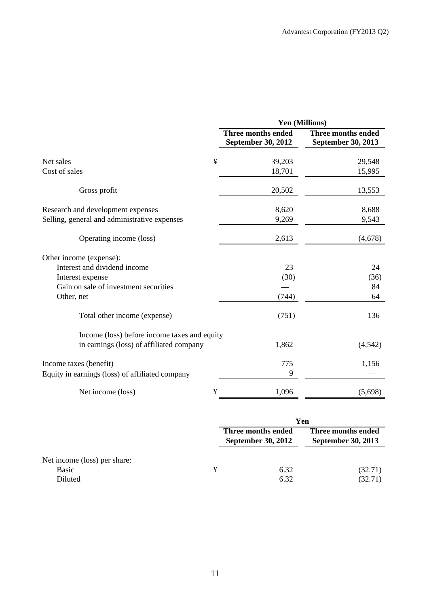|                                                 |                                          | Yen (Millions)                           |
|-------------------------------------------------|------------------------------------------|------------------------------------------|
|                                                 | Three months ended<br>September 30, 2012 | Three months ended<br>September 30, 2013 |
| ¥<br>Net sales                                  | 39,203                                   | 29,548                                   |
| Cost of sales                                   | 18,701                                   | 15,995                                   |
| Gross profit                                    | 20,502                                   | 13,553                                   |
| Research and development expenses               | 8,620                                    | 8,688                                    |
| Selling, general and administrative expenses    | 9,269                                    | 9,543                                    |
| Operating income (loss)                         | 2,613                                    | (4,678)                                  |
| Other income (expense):                         |                                          |                                          |
| Interest and dividend income                    | 23                                       | 24                                       |
| Interest expense                                | (30)                                     | (36)                                     |
| Gain on sale of investment securities           |                                          | 84                                       |
| Other, net                                      | (744)                                    | 64                                       |
| Total other income (expense)                    | (751)                                    | 136                                      |
| Income (loss) before income taxes and equity    |                                          |                                          |
| in earnings (loss) of affiliated company        | 1,862                                    | (4, 542)                                 |
| Income taxes (benefit)                          | 775                                      | 1,156                                    |
| Equity in earnings (loss) of affiliated company | 9                                        |                                          |
| ¥<br>Net income (loss)                          | 1,096                                    | (5,698)                                  |

|                                                  |   | Yen                                             |                                                 |  |
|--------------------------------------------------|---|-------------------------------------------------|-------------------------------------------------|--|
|                                                  |   | Three months ended<br><b>September 30, 2012</b> | Three months ended<br><b>September 30, 2013</b> |  |
| Net income (loss) per share:<br>Basic<br>Diluted | ¥ | 6.32<br>6.32                                    | (32.71)<br>(32.71)                              |  |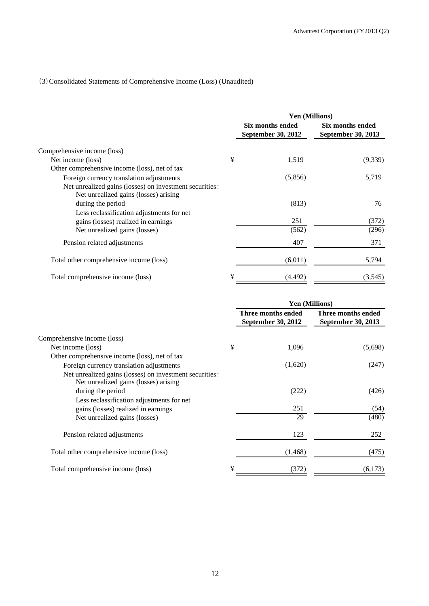## (3)Consolidated Statements of Comprehensive Income (Loss) (Unaudited)

|                                                                                                  |   | <b>Yen (Millions)</b>                         |                                        |
|--------------------------------------------------------------------------------------------------|---|-----------------------------------------------|----------------------------------------|
|                                                                                                  |   | Six months ended<br><b>September 30, 2012</b> | Six months ended<br>September 30, 2013 |
| Comprehensive income (loss)                                                                      |   |                                               |                                        |
| Net income (loss)                                                                                | ¥ | 1,519                                         | (9,339)                                |
| Other comprehensive income (loss), net of tax                                                    |   |                                               |                                        |
| Foreign currency translation adjustments                                                         |   | (5,856)                                       | 5,719                                  |
| Net unrealized gains (losses) on investment securities:<br>Net unrealized gains (losses) arising |   |                                               |                                        |
| during the period                                                                                |   | (813)                                         | 76                                     |
| Less reclassification adjustments for net                                                        |   |                                               |                                        |
| gains (losses) realized in earnings                                                              |   | 251                                           | (372)                                  |
| Net unrealized gains (losses)                                                                    |   | (562)                                         | (296)                                  |
| Pension related adjustments                                                                      |   | 407                                           | 371                                    |
| Total other comprehensive income (loss)                                                          |   | (6,011)                                       | 5,794                                  |
| Total comprehensive income (loss)                                                                | ¥ | (4, 492)                                      | (3,545)                                |

|                                                                                                                       |   | <b>Yen (Millions)</b>                           |                                          |  |
|-----------------------------------------------------------------------------------------------------------------------|---|-------------------------------------------------|------------------------------------------|--|
|                                                                                                                       |   | Three months ended<br><b>September 30, 2012</b> | Three months ended<br>September 30, 2013 |  |
| Comprehensive income (loss)                                                                                           |   |                                                 |                                          |  |
| Net income (loss)                                                                                                     | ¥ | 1,096                                           | (5,698)                                  |  |
| Other comprehensive income (loss), net of tax                                                                         |   |                                                 |                                          |  |
| Foreign currency translation adjustments                                                                              |   | (1,620)                                         | (247)                                    |  |
| Net unrealized gains (losses) on investment securities:<br>Net unrealized gains (losses) arising<br>during the period |   | (222)                                           | (426)                                    |  |
| Less reclassification adjustments for net                                                                             |   |                                                 |                                          |  |
| gains (losses) realized in earnings                                                                                   |   | 251                                             | (54)                                     |  |
| Net unrealized gains (losses)                                                                                         |   | 29                                              | (480)                                    |  |
| Pension related adjustments                                                                                           |   | 123                                             | 252                                      |  |
| Total other comprehensive income (loss)                                                                               |   | (1, 468)                                        | (475)                                    |  |
| Total comprehensive income (loss)                                                                                     | ¥ | (372)                                           | (6,173)                                  |  |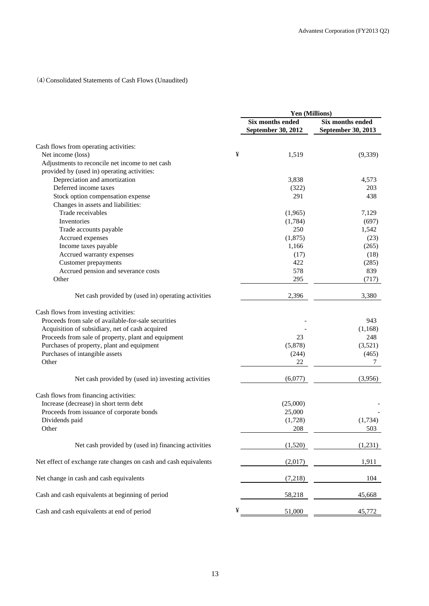## (4)Consolidated Statements of Cash Flows (Unaudited)

|                                                                                                                                                                                                                                                                                                 |   | Yen (Millions)                                |                                                |  |
|-------------------------------------------------------------------------------------------------------------------------------------------------------------------------------------------------------------------------------------------------------------------------------------------------|---|-----------------------------------------------|------------------------------------------------|--|
|                                                                                                                                                                                                                                                                                                 |   | Six months ended<br><b>September 30, 2012</b> | <b>Six months ended</b><br>September 30, 2013  |  |
| Cash flows from operating activities:                                                                                                                                                                                                                                                           |   |                                               |                                                |  |
| Net income (loss)                                                                                                                                                                                                                                                                               | ¥ | 1,519                                         | (9,339)                                        |  |
| Adjustments to reconcile net income to net cash                                                                                                                                                                                                                                                 |   |                                               |                                                |  |
| provided by (used in) operating activities:                                                                                                                                                                                                                                                     |   |                                               |                                                |  |
| Depreciation and amortization                                                                                                                                                                                                                                                                   |   | 3,838                                         | 4,573                                          |  |
| Deferred income taxes                                                                                                                                                                                                                                                                           |   | (322)                                         | 203                                            |  |
| Stock option compensation expense                                                                                                                                                                                                                                                               |   | 291                                           | 438                                            |  |
| Changes in assets and liabilities:                                                                                                                                                                                                                                                              |   |                                               |                                                |  |
| Trade receivables                                                                                                                                                                                                                                                                               |   | (1,965)                                       | 7,129                                          |  |
| Inventories                                                                                                                                                                                                                                                                                     |   | (1,784)                                       | (697)                                          |  |
| Trade accounts payable                                                                                                                                                                                                                                                                          |   | 250                                           | 1,542                                          |  |
| Accrued expenses                                                                                                                                                                                                                                                                                |   | (1,875)                                       |                                                |  |
|                                                                                                                                                                                                                                                                                                 |   | 1,166                                         | (23)                                           |  |
| Income taxes payable                                                                                                                                                                                                                                                                            |   |                                               | (265)                                          |  |
| Accrued warranty expenses                                                                                                                                                                                                                                                                       |   | (17)                                          | (18)                                           |  |
| <b>Customer</b> prepayments                                                                                                                                                                                                                                                                     |   | 422                                           | (285)                                          |  |
| Accrued pension and severance costs                                                                                                                                                                                                                                                             |   | 578                                           | 839                                            |  |
| Other                                                                                                                                                                                                                                                                                           |   | 295                                           | (717)                                          |  |
| Net cash provided by (used in) operating activities                                                                                                                                                                                                                                             |   | 2,396                                         | 3,380                                          |  |
| Cash flows from investing activities:<br>Proceeds from sale of available-for-sale securities<br>Acquisition of subsidiary, net of cash acquired<br>Proceeds from sale of property, plant and equipment<br>Purchases of property, plant and equipment<br>Purchases of intangible assets<br>Other |   | 23<br>(5,878)<br>(244)<br>22                  | 943<br>(1,168)<br>248<br>(3,521)<br>(465)<br>7 |  |
| Net cash provided by (used in) investing activities                                                                                                                                                                                                                                             |   | (6,077)                                       | (3,956)                                        |  |
| Cash flows from financing activities:<br>Increase (decrease) in short term debt<br>Proceeds from issuance of corporate bonds<br>Dividends paid<br>Other                                                                                                                                         |   | (25,000)<br>25,000<br>(1,728)<br>208          | (1,734)<br>503                                 |  |
| Net cash provided by (used in) financing activities                                                                                                                                                                                                                                             |   | (1,520)                                       | (1,231)                                        |  |
| Net effect of exchange rate changes on cash and cash equivalents                                                                                                                                                                                                                                |   | (2,017)                                       | 1,911                                          |  |
| Net change in cash and cash equivalents                                                                                                                                                                                                                                                         |   | (7,218)                                       | 104                                            |  |
| Cash and cash equivalents at beginning of period                                                                                                                                                                                                                                                |   | 58,218                                        | 45,668                                         |  |
| Cash and cash equivalents at end of period                                                                                                                                                                                                                                                      | ¥ | 51,000                                        | 45,772                                         |  |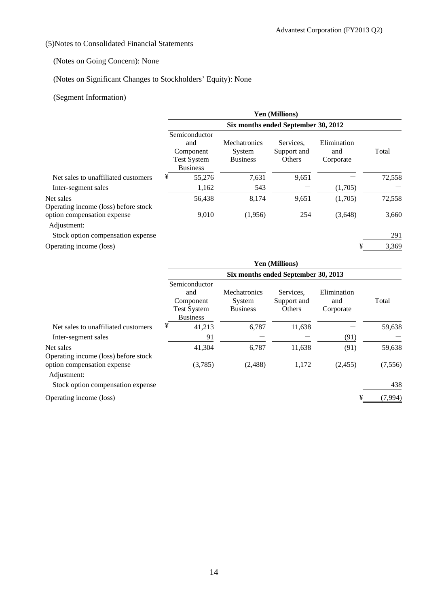## (5)Notes to Consolidated Financial Statements

## (Notes on Going Concern): None

## (Notes on Significant Changes to Stockholders' Equity): None

## (Segment Information)

|                                                   | <b>Yen (Millions)</b>                                                      |                                           |                                    |                                 |        |  |  |
|---------------------------------------------------|----------------------------------------------------------------------------|-------------------------------------------|------------------------------------|---------------------------------|--------|--|--|
|                                                   | Six months ended September 30, 2012                                        |                                           |                                    |                                 |        |  |  |
|                                                   | Semiconductor<br>and<br>Component<br><b>Test System</b><br><b>Business</b> | Mechatronics<br>System<br><b>Business</b> | Services.<br>Support and<br>Others | Elimination<br>and<br>Corporate | Total  |  |  |
| Net sales to unaffiliated customers               | ¥<br>55,276                                                                | 7,631                                     | 9,651                              |                                 | 72,558 |  |  |
| Inter-segment sales                               | 1,162                                                                      | 543                                       |                                    | (1,705)                         |        |  |  |
| Net sales<br>Operating income (loss) before stock | 56,438                                                                     | 8,174                                     | 9,651                              | (1,705)                         | 72,558 |  |  |
| option compensation expense<br>Adjustment:        | 9,010                                                                      | (1,956)                                   | 254                                | (3,648)                         | 3,660  |  |  |
| Stock option compensation expense                 |                                                                            |                                           |                                    |                                 | 291    |  |  |
| Operating income (loss)                           |                                                                            |                                           |                                    | ¥                               | 3,369  |  |  |

|                                                                                    | <b>Yen (Millions)</b>                                                      |                                           |                                    |                                 |         |  |  |  |
|------------------------------------------------------------------------------------|----------------------------------------------------------------------------|-------------------------------------------|------------------------------------|---------------------------------|---------|--|--|--|
|                                                                                    | Six months ended September 30, 2013                                        |                                           |                                    |                                 |         |  |  |  |
|                                                                                    | Semiconductor<br>and<br>Component<br><b>Test System</b><br><b>Business</b> | Mechatronics<br>System<br><b>Business</b> | Services.<br>Support and<br>Others | Elimination<br>and<br>Corporate | Total   |  |  |  |
| Net sales to unaffiliated customers                                                | ¥<br>41,213                                                                | 6,787                                     | 11,638                             |                                 | 59,638  |  |  |  |
| Inter-segment sales                                                                | 91                                                                         |                                           |                                    | (91)                            |         |  |  |  |
| Net sales                                                                          | 41,304                                                                     | 6,787                                     | 11,638                             | (91)                            | 59,638  |  |  |  |
| Operating income (loss) before stock<br>option compensation expense<br>Adjustment: | (3,785)                                                                    | (2,488)                                   | 1,172                              | (2,455)                         | (7,556) |  |  |  |
| Stock option compensation expense                                                  |                                                                            |                                           |                                    |                                 | 438     |  |  |  |

Operating income (loss)  $\frac{4}{1}$  (7,994)